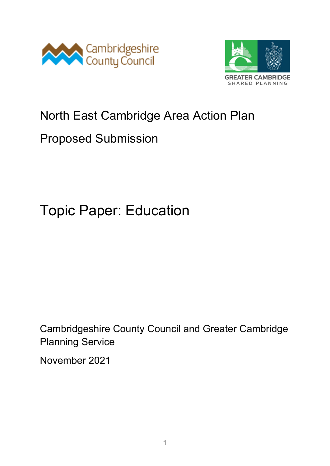



# North East Cambridge Area Action Plan

# Proposed Submission

# Topic Paper: Education

Cambridgeshire County Council and Greater Cambridge Planning Service

November 2021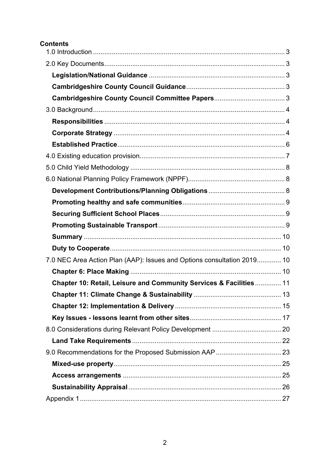#### **Contents**

| 7.0 NEC Area Action Plan (AAP): Issues and Options consultation 2019 10 |  |
|-------------------------------------------------------------------------|--|
|                                                                         |  |
| Chapter 10: Retail, Leisure and Community Services & Facilities  11     |  |
|                                                                         |  |
|                                                                         |  |
|                                                                         |  |
|                                                                         |  |
|                                                                         |  |
|                                                                         |  |
|                                                                         |  |
|                                                                         |  |
|                                                                         |  |
|                                                                         |  |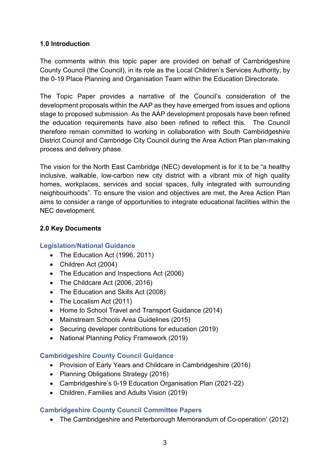#### <span id="page-2-0"></span>**1.0 Introduction**

The comments within this topic paper are provided on behalf of Cambridgeshire County Council (the Council), in its role as the Local Children's Services Authority, by the 0-19 Place Planning and Organisation Team within the Education Directorate.

The Topic Paper provides a narrative of the Council's consideration of the development proposals within the AAP as they have emerged from issues and options stage to proposed submission. As the AAP development proposals have been refined the education requirements have also been refined to reflect this. The Council therefore remain committed to working in collaboration with South Cambridgeshire District Council and Cambridge City Council during the Area Action Plan plan-making process and delivery phase.

The vision for the North East Cambridge (NEC) development is for it to be "a healthy inclusive, walkable, low-carbon new city district with a vibrant mix of high quality homes, workplaces, services and social spaces, fully integrated with surrounding neighbourhoods". To ensure the vision and objectives are met, the Area Action Plan aims to consider a range of opportunities to integrate educational facilities within the NEC development.

#### <span id="page-2-1"></span>**2.0 Key Documents**

#### <span id="page-2-2"></span>**Legislation/National Guidance**

- The Education Act (1996, 2011)
- Children Act (2004)
- The Education and Inspections Act (2006)
- The Childcare Act (2006, 2016)
- The Education and Skills Act (2008)
- The Localism Act (2011)
- Home to School Travel and Transport Guidance (2014)
- Mainstream Schools Area Guidelines (2015)
- Securing developer contributions for education (2019)
- National Planning Policy Framework (2019)

#### <span id="page-2-3"></span>**Cambridgeshire County Council Guidance**

- Provision of Early Years and Childcare in Cambridgeshire (2016)
- Planning Obligations Strategy (2016)
- Cambridgeshire's 0-19 Education Organisation Plan (2021-22)
- Children, Families and Adults Vision (2019)

#### <span id="page-2-4"></span>**Cambridgeshire County Council Committee Papers**

• The Cambridgeshire and Peterborough Memorandum of Co-operation' (2012)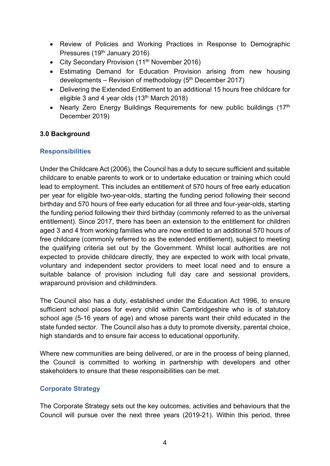- Review of Policies and Working Practices in Response to Demographic Pressures (19<sup>th</sup> January 2016)
- City Secondary Provision (11<sup>th</sup> November 2016)
- Estimating Demand for Education Provision arising from new housing developments – Revision of methodology  $(5<sup>th</sup> December 2017)$
- Delivering the Extended Entitlement to an additional 15 hours free childcare for eligible 3 and 4 year olds  $(13<sup>th</sup> March 2018)$
- Nearly Zero Energy Buildings Requirements for new public buildings (17<sup>th</sup>) December 2019)

#### <span id="page-3-0"></span>**3.0 Background**

#### <span id="page-3-1"></span>**Responsibilities**

Under the Childcare Act (2006), the Council has a duty to secure sufficient and suitable childcare to enable parents to work or to undertake education or training which could lead to employment. This includes an entitlement of 570 hours of free early education per year for eligible two-year-olds, starting the funding period following their second birthday and 570 hours of free early education for all three and four-year-olds, starting the funding period following their third birthday (commonly referred to as the universal entitlement). Since 2017, there has been an extension to the entitlement for children aged 3 and 4 from working families who are now entitled to an additional 570 hours of free childcare (commonly referred to as the extended entitlement), subject to meeting the qualifying criteria set out by the Government. Whilst local authorities are not expected to provide childcare directly, they are expected to work with local private, voluntary and independent sector providers to meet local need and to ensure a suitable balance of provision including full day care and sessional providers, wraparound provision and childminders.

The Council also has a duty, established under the Education Act 1996, to ensure sufficient school places for every child within Cambridgeshire who is of statutory school age (5-16 years of age) and whose parents want their child educated in the state funded sector. The Council also has a duty to promote diversity, parental choice, high standards and to ensure fair access to educational opportunity.

Where new communities are being delivered, or are in the process of being planned, the Council is committed to working in partnership with developers and other stakeholders to ensure that these responsibilities can be met.

#### <span id="page-3-2"></span>**Corporate Strategy**

The Corporate Strategy sets out the key outcomes, activities and behaviours that the Council will pursue over the next three years (2019-21). Within this period, three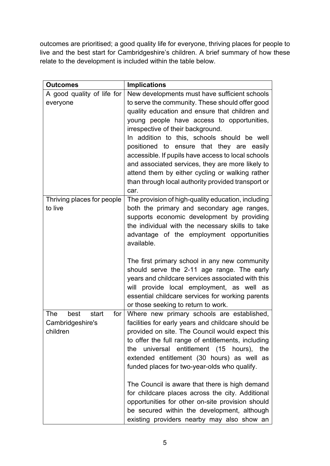outcomes are prioritised; a good quality life for everyone, thriving places for people to live and the best start for Cambridgeshire's children. A brief summary of how these relate to the development is included within the table below.

| <b>Outcomes</b>              | <b>Implications</b>                                                                                   |
|------------------------------|-------------------------------------------------------------------------------------------------------|
| A good quality of life for   | New developments must have sufficient schools                                                         |
| everyone                     | to serve the community. These should offer good                                                       |
|                              | quality education and ensure that children and                                                        |
|                              | young people have access to opportunities,                                                            |
|                              | irrespective of their background.                                                                     |
|                              | In addition to this, schools should be well                                                           |
|                              | positioned to ensure that they are easily                                                             |
|                              | accessible. If pupils have access to local schools                                                    |
|                              | and associated services, they are more likely to                                                      |
|                              | attend them by either cycling or walking rather<br>than through local authority provided transport or |
|                              | car.                                                                                                  |
| Thriving places for people   | The provision of high-quality education, including                                                    |
| to live                      | both the primary and secondary age ranges,                                                            |
|                              | supports economic development by providing                                                            |
|                              | the individual with the necessary skills to take                                                      |
|                              | advantage of the employment opportunities                                                             |
|                              | available.                                                                                            |
|                              |                                                                                                       |
|                              | The first primary school in any new community                                                         |
|                              | should serve the 2-11 age range. The early                                                            |
|                              | years and childcare services associated with this                                                     |
|                              | will provide local employment, as well as                                                             |
|                              | essential childcare services for working parents                                                      |
|                              | or those seeking to return to work.                                                                   |
| best<br>The<br>start<br>for  | Where new primary schools are established,                                                            |
| Cambridgeshire's<br>children | facilities for early years and childcare should be<br>provided on site. The Council would expect this |
|                              | to offer the full range of entitlements, including                                                    |
|                              | universal entitlement (15 hours),<br>the<br>the                                                       |
|                              | extended entitlement (30 hours) as well as                                                            |
|                              | funded places for two-year-olds who qualify.                                                          |
|                              |                                                                                                       |
|                              | The Council is aware that there is high demand                                                        |
|                              | for childcare places across the city. Additional                                                      |
|                              | opportunities for other on-site provision should                                                      |
|                              | be secured within the development, although                                                           |
|                              | existing providers nearby may also show an                                                            |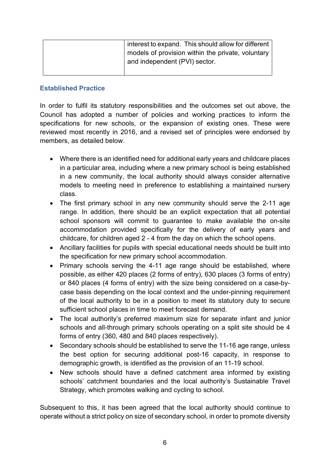| interest to expand. This should allow for different |
|-----------------------------------------------------|
| models of provision within the private, voluntary   |
| and independent (PVI) sector.                       |
|                                                     |

#### <span id="page-5-0"></span>**Established Practice**

In order to fulfil its statutory responsibilities and the outcomes set out above, the Council has adopted a number of policies and working practices to inform the specifications for new schools, or the expansion of existing ones. These were reviewed most recently in 2016, and a revised set of principles were endorsed by members, as detailed below.

- Where there is an identified need for additional early years and childcare places in a particular area, including where a new primary school is being established in a new community, the local authority should always consider alternative models to meeting need in preference to establishing a maintained nursery class.
- The first primary school in any new community should serve the 2-11 age range. In addition, there should be an explicit expectation that all potential school sponsors will commit to guarantee to make available the on-site accommodation provided specifically for the delivery of early years and childcare, for children aged 2 - 4 from the day on which the school opens.
- Ancillary facilities for pupils with special educational needs should be built into the specification for new primary school accommodation.
- Primary schools serving the 4-11 age range should be established, where possible, as either 420 places (2 forms of entry), 630 places (3 forms of entry) or 840 places (4 forms of entry) with the size being considered on a case-bycase basis depending on the local context and the under-pinning requirement of the local authority to be in a position to meet its statutory duty to secure sufficient school places in time to meet forecast demand.
- The local authority's preferred maximum size for separate infant and junior schools and all-through primary schools operating on a split site should be 4 forms of entry (360, 480 and 840 places respectively).
- Secondary schools should be established to serve the 11-16 age range, unless the best option for securing additional post-16 capacity, in response to demographic growth, is identified as the provision of an 11-19 school.
- New schools should have a defined catchment area informed by existing schools' catchment boundaries and the local authority's Sustainable Travel Strategy, which promotes walking and cycling to school.

Subsequent to this, it has been agreed that the local authority should continue to operate without a strict policy on size of secondary school, in order to promote diversity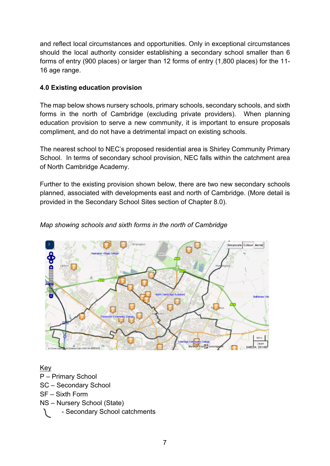and reflect local circumstances and opportunities. Only in exceptional circumstances should the local authority consider establishing a secondary school smaller than 6 forms of entry (900 places) or larger than 12 forms of entry (1,800 places) for the 11- 16 age range.

#### <span id="page-6-0"></span>**4.0 Existing education provision**

The map below shows nursery schools, primary schools, secondary schools, and sixth forms in the north of Cambridge (excluding private providers). When planning education provision to serve a new community, it is important to ensure proposals compliment, and do not have a detrimental impact on existing schools.

The nearest school to NEC's proposed residential area is Shirley Community Primary School. In terms of secondary school provision, NEC falls within the catchment area of North Cambridge Academy.

Further to the existing provision shown below, there are two new secondary schools planned, associated with developments east and north of Cambridge. (More detail is provided in the Secondary School Sites section of Chapter 8.0).

# Greyscale Colour Aerial Impinator 500 m

#### *Map showing schools and sixth forms in the north of Cambridge*

Key P – Primary School SC – Secondary School SF – Sixth Form NS – Nursery School (State) - Secondary School catchments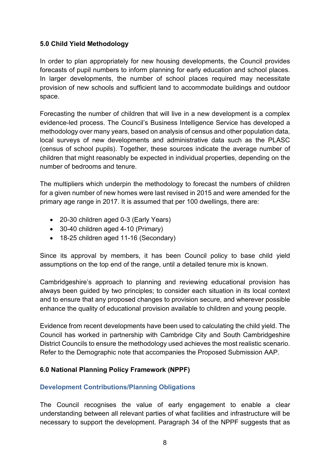#### <span id="page-7-0"></span>**5.0 Child Yield Methodology**

In order to plan appropriately for new housing developments, the Council provides forecasts of pupil numbers to inform planning for early education and school places. In larger developments, the number of school places required may necessitate provision of new schools and sufficient land to accommodate buildings and outdoor space.

Forecasting the number of children that will live in a new development is a complex evidence-led process. The Council's Business Intelligence Service has developed a methodology over many years, based on analysis of census and other population data, local surveys of new developments and administrative data such as the PLASC (census of school pupils). Together, these sources indicate the average number of children that might reasonably be expected in individual properties, depending on the number of bedrooms and tenure.

The multipliers which underpin the methodology to forecast the numbers of children for a given number of new homes were last revised in 2015 and were amended for the primary age range in 2017. It is assumed that per 100 dwellings, there are:

- 20-30 children aged 0-3 (Early Years)
- 30-40 children aged 4-10 (Primary)
- 18-25 children aged 11-16 (Secondary)

Since its approval by members, it has been Council policy to base child yield assumptions on the top end of the range, until a detailed tenure mix is known.

Cambridgeshire's approach to planning and reviewing educational provision has always been guided by two principles; to consider each situation in its local context and to ensure that any proposed changes to provision secure, and wherever possible enhance the quality of educational provision available to children and young people.

Evidence from recent developments have been used to calculating the child yield. The Council has worked in partnership with Cambridge City and South Cambridgeshire District Councils to ensure the methodology used achieves the most realistic scenario. Refer to the Demographic note that accompanies the Proposed Submission AAP.

#### <span id="page-7-1"></span>**6.0 National Planning Policy Framework (NPPF)**

#### <span id="page-7-2"></span>**Development Contributions/Planning Obligations**

The Council recognises the value of early engagement to enable a clear understanding between all relevant parties of what facilities and infrastructure will be necessary to support the development. Paragraph 34 of the NPPF suggests that as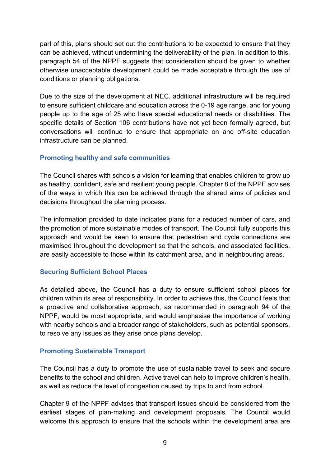part of this, plans should set out the contributions to be expected to ensure that they can be achieved, without undermining the deliverability of the plan. In addition to this, paragraph 54 of the NPPF suggests that consideration should be given to whether otherwise unacceptable development could be made acceptable through the use of conditions or planning obligations.

Due to the size of the development at NEC, additional infrastructure will be required to ensure sufficient childcare and education across the 0-19 age range, and for young people up to the age of 25 who have special educational needs or disabilities. The specific details of Section 106 contributions have not yet been formally agreed, but conversations will continue to ensure that appropriate on and off-site education infrastructure can be planned.

#### <span id="page-8-0"></span>**Promoting healthy and safe communities**

The Council shares with schools a vision for learning that enables children to grow up as healthy, confident, safe and resilient young people. Chapter 8 of the NPPF advises of the ways in which this can be achieved through the shared aims of policies and decisions throughout the planning process.

The information provided to date indicates plans for a reduced number of cars, and the promotion of more sustainable modes of transport. The Council fully supports this approach and would be keen to ensure that pedestrian and cycle connections are maximised throughout the development so that the schools, and associated facilities, are easily accessible to those within its catchment area, and in neighbouring areas.

#### <span id="page-8-1"></span>**Securing Sufficient School Places**

As detailed above, the Council has a duty to ensure sufficient school places for children within its area of responsibility. In order to achieve this, the Council feels that a proactive and collaborative approach, as recommended in paragraph 94 of the NPPF, would be most appropriate, and would emphasise the importance of working with nearby schools and a broader range of stakeholders, such as potential sponsors, to resolve any issues as they arise once plans develop.

#### <span id="page-8-2"></span>**Promoting Sustainable Transport**

The Council has a duty to promote the use of sustainable travel to seek and secure benefits to the school and children. Active travel can help to improve children's health, as well as reduce the level of congestion caused by trips to and from school.

Chapter 9 of the NPPF advises that transport issues should be considered from the earliest stages of plan-making and development proposals. The Council would welcome this approach to ensure that the schools within the development area are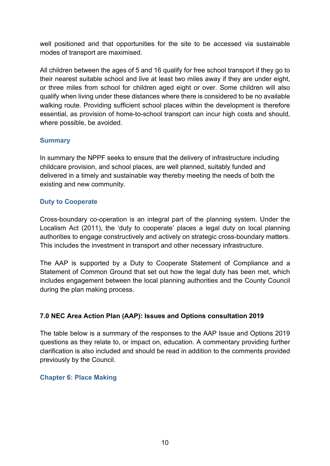well positioned and that opportunities for the site to be accessed via sustainable modes of transport are maximised.

All children between the ages of 5 and 16 qualify for free school transport if they go to their nearest suitable school and live at least two miles away if they are under eight, or three miles from school for children aged eight or over. Some children will also qualify when living under these distances where there is considered to be no available walking route. Providing sufficient school places within the development is therefore essential, as provision of home-to-school transport can incur high costs and should, where possible, be avoided.

#### <span id="page-9-0"></span>**Summary**

In summary the NPPF seeks to ensure that the delivery of infrastructure including childcare provision, and school places, are well planned, suitably funded and delivered in a timely and sustainable way thereby meeting the needs of both the existing and new community.

#### <span id="page-9-1"></span>**Duty to Cooperate**

Cross-boundary co-operation is an integral part of the planning system. Under the Localism Act (2011), the 'duty to cooperate' places a legal duty on local planning authorities to engage constructively and actively on strategic cross-boundary matters. This includes the investment in transport and other necessary infrastructure.

The AAP is supported by a Duty to Cooperate Statement of Compliance and a Statement of Common Ground that set out how the legal duty has been met, which includes engagement between the local planning authorities and the County Council during the plan making process.

#### <span id="page-9-2"></span>**7.0 NEC Area Action Plan (AAP): Issues and Options consultation 2019**

The table below is a summary of the responses to the AAP Issue and Options 2019 questions as they relate to, or impact on, education. A commentary providing further clarification is also included and should be read in addition to the comments provided previously by the Council.

#### <span id="page-9-3"></span>**Chapter 6: Place Making**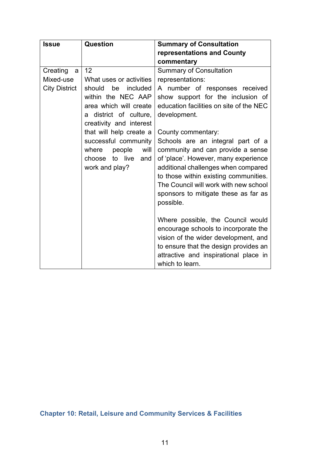<span id="page-10-0"></span>

| <b>Issue</b>         | <b>Question</b>                           | <b>Summary of Consultation</b>                                              |
|----------------------|-------------------------------------------|-----------------------------------------------------------------------------|
|                      |                                           | representations and County                                                  |
|                      |                                           | commentary                                                                  |
| Creating<br>a        | 12                                        | <b>Summary of Consultation</b>                                              |
| Mixed-use            | What uses or activities                   | representations:                                                            |
| <b>City District</b> | should<br>be<br>included                  | A number of responses received                                              |
|                      | within the NEC AAP                        | show support for the inclusion of                                           |
|                      | area which will create                    | education facilities on site of the NEC                                     |
|                      | a district of culture,                    | development.                                                                |
|                      | creativity and interest                   |                                                                             |
|                      | that will help create a                   | County commentary:                                                          |
|                      | successful community                      | Schools are an integral part of a                                           |
|                      | where<br>people<br>will<br>choose to live | community and can provide a sense                                           |
|                      | and<br>work and play?                     | of 'place'. However, many experience<br>additional challenges when compared |
|                      |                                           | to those within existing communities.                                       |
|                      |                                           | The Council will work with new school                                       |
|                      |                                           | sponsors to mitigate these as far as                                        |
|                      |                                           | possible.                                                                   |
|                      |                                           |                                                                             |
|                      |                                           | Where possible, the Council would                                           |
|                      |                                           | encourage schools to incorporate the                                        |
|                      |                                           | vision of the wider development, and                                        |
|                      |                                           | to ensure that the design provides an                                       |
|                      |                                           | attractive and inspirational place in                                       |
|                      |                                           | which to learn.                                                             |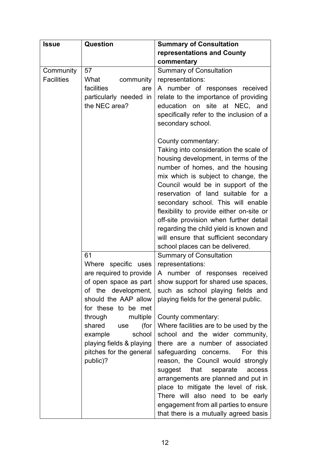| <b>Issue</b>                   | <b>Question</b>                                                                                                                                                                                                                                                                             | <b>Summary of Consultation</b>                                                                                                                                                                                                                                                                                                                                                                                                                                                                                                                                                                                                                                           |
|--------------------------------|---------------------------------------------------------------------------------------------------------------------------------------------------------------------------------------------------------------------------------------------------------------------------------------------|--------------------------------------------------------------------------------------------------------------------------------------------------------------------------------------------------------------------------------------------------------------------------------------------------------------------------------------------------------------------------------------------------------------------------------------------------------------------------------------------------------------------------------------------------------------------------------------------------------------------------------------------------------------------------|
|                                |                                                                                                                                                                                                                                                                                             | representations and County                                                                                                                                                                                                                                                                                                                                                                                                                                                                                                                                                                                                                                               |
|                                |                                                                                                                                                                                                                                                                                             | commentary                                                                                                                                                                                                                                                                                                                                                                                                                                                                                                                                                                                                                                                               |
| Community<br><b>Facilities</b> | 57<br>What<br>community<br>facilities<br>are<br>particularly needed in<br>the NEC area?                                                                                                                                                                                                     | <b>Summary of Consultation</b><br>representations:<br>A number of responses received<br>relate to the importance of providing<br>education on site at NEC, and<br>specifically refer to the inclusion of a<br>secondary school.<br>County commentary:                                                                                                                                                                                                                                                                                                                                                                                                                    |
|                                |                                                                                                                                                                                                                                                                                             | Taking into consideration the scale of<br>housing development, in terms of the<br>number of homes, and the housing<br>mix which is subject to change, the<br>Council would be in support of the<br>reservation of land suitable for a<br>secondary school. This will enable<br>flexibility to provide either on-site or<br>off-site provision when further detail<br>regarding the child yield is known and<br>will ensure that sufficient secondary<br>school places can be delivered.                                                                                                                                                                                  |
|                                | 61<br>Where specific uses<br>are required to provide<br>of open space as part<br>of the development,<br>should the AAP allow<br>for these to be met<br>through<br>multiple<br>shared<br>(for<br>use<br>example<br>school<br>playing fields & playing<br>pitches for the general<br>public)? | <b>Summary of Consultation</b><br>representations:<br>A number of responses received<br>show support for shared use spaces,<br>such as school playing fields and<br>playing fields for the general public.<br>County commentary:<br>Where facilities are to be used by the<br>school and the wider community,<br>there are a number of associated<br>safeguarding concerns. For this<br>reason, the Council would strongly<br>that<br>suggest<br>separate<br>access<br>arrangements are planned and put in<br>place to mitigate the level of risk.<br>There will also need to be early<br>engagement from all parties to ensure<br>that there is a mutually agreed basis |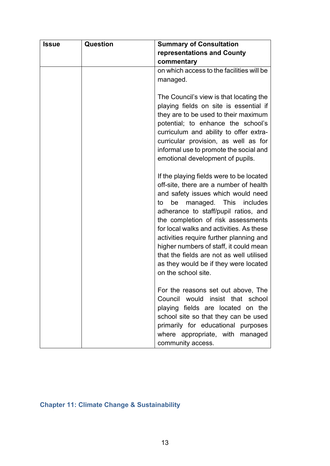| <b>Issue</b> | Question | <b>Summary of Consultation</b>                                                                                                                                                                                                                                                                                                                                                                                                                                                                      |
|--------------|----------|-----------------------------------------------------------------------------------------------------------------------------------------------------------------------------------------------------------------------------------------------------------------------------------------------------------------------------------------------------------------------------------------------------------------------------------------------------------------------------------------------------|
|              |          | representations and County                                                                                                                                                                                                                                                                                                                                                                                                                                                                          |
|              |          | commentary                                                                                                                                                                                                                                                                                                                                                                                                                                                                                          |
|              |          | on which access to the facilities will be                                                                                                                                                                                                                                                                                                                                                                                                                                                           |
|              |          | managed.                                                                                                                                                                                                                                                                                                                                                                                                                                                                                            |
|              |          |                                                                                                                                                                                                                                                                                                                                                                                                                                                                                                     |
|              |          | The Council's view is that locating the<br>playing fields on site is essential if<br>they are to be used to their maximum<br>potential; to enhance the school's<br>curriculum and ability to offer extra-<br>curricular provision, as well as for<br>informal use to promote the social and<br>emotional development of pupils.                                                                                                                                                                     |
|              |          | If the playing fields were to be located<br>off-site, there are a number of health<br>and safety issues which would need<br>managed. This<br>be<br><i>includes</i><br>to<br>adherance to staff/pupil ratios, and<br>the completion of risk assessments<br>for local walks and activities. As these<br>activities require further planning and<br>higher numbers of staff, it could mean<br>that the fields are not as well utilised<br>as they would be if they were located<br>on the school site. |
|              |          | For the reasons set out above, The<br>Council would insist that school<br>playing fields are located on the<br>school site so that they can be used<br>primarily for educational purposes<br>where appropriate, with managed<br>community access.                                                                                                                                                                                                                                                   |

## <span id="page-12-0"></span>**Chapter 11: Climate Change & Sustainability**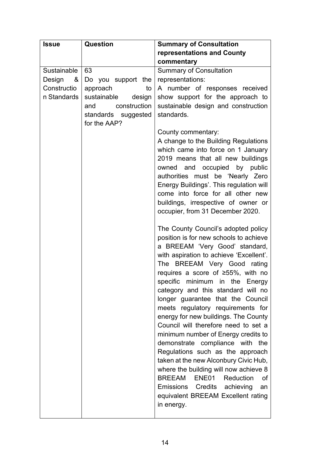| <b>Issue</b> | <b>Question</b>       | <b>Summary of Consultation</b>                                          |
|--------------|-----------------------|-------------------------------------------------------------------------|
|              |                       | representations and County                                              |
|              |                       | commentary                                                              |
| Sustainable  | 63                    | <b>Summary of Consultation</b>                                          |
| Design<br>&  | Do you support the    | representations:                                                        |
| Constructio  | approach<br>to        | A number of responses received                                          |
| n Standards  | sustainable<br>design | show support for the approach to                                        |
|              | construction<br>and   | sustainable design and construction                                     |
|              | standards suggested   | standards.                                                              |
|              | for the AAP?          |                                                                         |
|              |                       | County commentary:                                                      |
|              |                       | A change to the Building Regulations                                    |
|              |                       | which came into force on 1 January                                      |
|              |                       | 2019 means that all new buildings                                       |
|              |                       | owned and occupied by public                                            |
|              |                       | authorities must be 'Nearly Zero                                        |
|              |                       | Energy Buildings'. This regulation will                                 |
|              |                       | come into force for all other new                                       |
|              |                       | buildings, irrespective of owner or<br>occupier, from 31 December 2020. |
|              |                       |                                                                         |
|              |                       | The County Council's adopted policy                                     |
|              |                       | position is for new schools to achieve                                  |
|              |                       | a BREEAM 'Very Good' standard,                                          |
|              |                       | with aspiration to achieve 'Excellent'.                                 |
|              |                       | The BREEAM Very Good rating                                             |
|              |                       | requires a score of $\geq 55\%$ , with no                               |
|              |                       | specific minimum in the Energy                                          |
|              |                       | category and this standard will no                                      |
|              |                       | longer guarantee that the Council                                       |
|              |                       | meets regulatory requirements for                                       |
|              |                       | energy for new buildings. The County                                    |
|              |                       | Council will therefore need to set a                                    |
|              |                       | minimum number of Energy credits to                                     |
|              |                       | demonstrate compliance with the                                         |
|              |                       | Regulations such as the approach                                        |
|              |                       | taken at the new Alconbury Civic Hub,                                   |
|              |                       | where the building will now achieve 8                                   |
|              |                       | BREEAM ENE01<br>Reduction<br>οf                                         |
|              |                       | Emissions Credits achieving<br>an                                       |
|              |                       | equivalent BREEAM Excellent rating                                      |
|              |                       | in energy.                                                              |
|              |                       |                                                                         |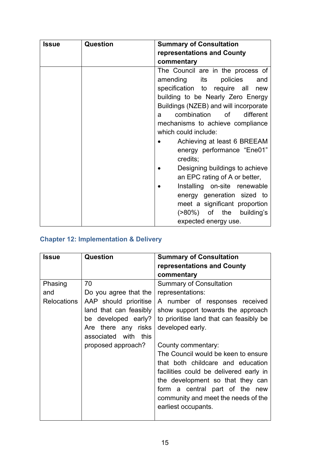| <b>Issue</b> | Question | <b>Summary of Consultation</b>        |
|--------------|----------|---------------------------------------|
|              |          | representations and County            |
|              |          | commentary                            |
|              |          | The Council are in the process of     |
|              |          | amending<br>its<br>policies<br>and    |
|              |          | specification to require all<br>new   |
|              |          | building to be Nearly Zero Energy     |
|              |          | Buildings (NZEB) and will incorporate |
|              |          | combination of<br>different<br>a -    |
|              |          | mechanisms to achieve compliance      |
|              |          | which could include:                  |
|              |          | Achieving at least 6 BREEAM           |
|              |          | energy performance "Ene01"            |
|              |          | credits;                              |
|              |          | Designing buildings to achieve        |
|              |          | an EPC rating of A or better,         |
|              |          | Installing on-site renewable          |
|              |          | energy generation sized to            |
|              |          | meet a significant proportion         |
|              |          | (>80%) of the building's              |
|              |          | expected energy use.                  |

## <span id="page-14-0"></span>**Chapter 12: Implementation & Delivery**

| <b>Issue</b>       | Question               | <b>Summary of Consultation</b>          |
|--------------------|------------------------|-----------------------------------------|
|                    |                        | representations and County              |
|                    |                        | commentary                              |
| Phasing            | 70                     | <b>Summary of Consultation</b>          |
| and                | Do you agree that the  | representations:                        |
| <b>Relocations</b> | AAP should prioritise  | A number of responses received          |
|                    | land that can feasibly | show support towards the approach       |
|                    | be developed early?    | to prioritise land that can feasibly be |
|                    | Are there any risks    | developed early.                        |
|                    | associated with this   |                                         |
|                    | proposed approach?     | County commentary:                      |
|                    |                        | The Council would be keen to ensure     |
|                    |                        | that both childcare and education       |
|                    |                        | facilities could be delivered early in  |
|                    |                        | the development so that they can        |
|                    |                        | form a central part of the new          |
|                    |                        | community and meet the needs of the     |
|                    |                        | earliest occupants.                     |
|                    |                        |                                         |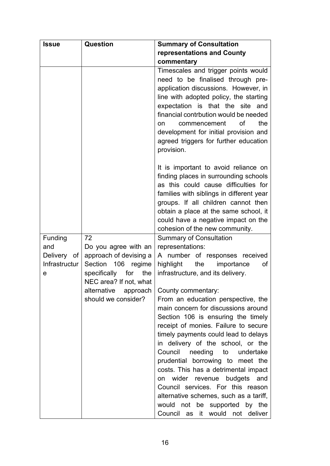| <b>Issue</b>                        | <b>Question</b>                                                         | <b>Summary of Consultation</b>                                                                                                                                                                                                                                                                                                                                              |
|-------------------------------------|-------------------------------------------------------------------------|-----------------------------------------------------------------------------------------------------------------------------------------------------------------------------------------------------------------------------------------------------------------------------------------------------------------------------------------------------------------------------|
|                                     |                                                                         | representations and County                                                                                                                                                                                                                                                                                                                                                  |
|                                     |                                                                         | commentary                                                                                                                                                                                                                                                                                                                                                                  |
|                                     |                                                                         | Timescales and trigger points would<br>need to be finalised through pre-<br>application discussions. However, in<br>line with adopted policy, the starting<br>expectation is that the site and<br>financial contrbution would be needed<br>of<br>the<br>commencement<br>on.<br>development for initial provision and<br>agreed triggers for further education<br>provision. |
|                                     |                                                                         | It is important to avoid reliance on<br>finding places in surrounding schools<br>as this could cause difficulties for<br>families with siblings in different year<br>groups. If all children cannot then<br>obtain a place at the same school, it<br>could have a negative impact on the<br>cohesion of the new community.                                                  |
| Funding                             | 72                                                                      | <b>Summary of Consultation</b>                                                                                                                                                                                                                                                                                                                                              |
| and<br>Delivery of<br>Infrastructur | Do you agree with an<br>approach of devising a<br>Section 106<br>regime | representations:<br>A number of responses received<br>the<br>importance<br>highlight<br>of                                                                                                                                                                                                                                                                                  |
| е                                   | specifically for<br>the<br>NEC area? If not, what                       | infrastructure, and its delivery.                                                                                                                                                                                                                                                                                                                                           |
|                                     | alternative                                                             |                                                                                                                                                                                                                                                                                                                                                                             |
|                                     | approach<br>should we consider?                                         | County commentary:<br>From an education perspective, the                                                                                                                                                                                                                                                                                                                    |
|                                     |                                                                         | main concern for discussions around                                                                                                                                                                                                                                                                                                                                         |
|                                     |                                                                         | Section 106 is ensuring the timely                                                                                                                                                                                                                                                                                                                                          |
|                                     |                                                                         | receipt of monies. Failure to secure                                                                                                                                                                                                                                                                                                                                        |
|                                     |                                                                         | timely payments could lead to delays                                                                                                                                                                                                                                                                                                                                        |
|                                     |                                                                         | in delivery of the school, or the<br>Council<br>needing to<br>undertake                                                                                                                                                                                                                                                                                                     |
|                                     |                                                                         | prudential borrowing to meet the                                                                                                                                                                                                                                                                                                                                            |
|                                     |                                                                         | costs. This has a detrimental impact                                                                                                                                                                                                                                                                                                                                        |
|                                     |                                                                         | wider revenue budgets and<br>on                                                                                                                                                                                                                                                                                                                                             |
|                                     |                                                                         | Council services. For this reason                                                                                                                                                                                                                                                                                                                                           |
|                                     |                                                                         | alternative schemes, such as a tariff,                                                                                                                                                                                                                                                                                                                                      |
|                                     |                                                                         | would not be supported by the                                                                                                                                                                                                                                                                                                                                               |
|                                     |                                                                         | Council as it would not deliver                                                                                                                                                                                                                                                                                                                                             |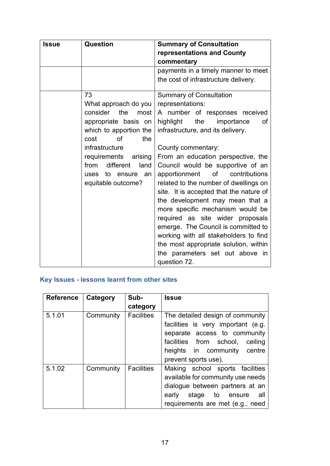| <b>Issue</b> | Question                   | <b>Summary of Consultation</b>          |
|--------------|----------------------------|-----------------------------------------|
|              |                            | representations and County              |
|              |                            | commentary                              |
|              |                            | payments in a timely manner to meet     |
|              |                            | the cost of infrastructure delivery.    |
|              | 73                         | <b>Summary of Consultation</b>          |
|              | What approach do you       | representations:                        |
|              | consider the<br>most       | A number of responses received          |
|              | appropriate basis on       | highlight<br>the<br>importance<br>of    |
|              | which to apportion the     | infrastructure, and its delivery.       |
|              | of<br>the<br>cost          |                                         |
|              | infrastructure             | County commentary:                      |
|              | requirements arising       | From an education perspective, the      |
|              | different<br>from<br>land  | Council would be supportive of an       |
|              | to<br>ensure<br>an<br>uses | of<br>contributions<br>apportionment    |
|              | equitable outcome?         | related to the number of dwellings on   |
|              |                            | site. It is accepted that the nature of |
|              |                            | the development may mean that a         |
|              |                            | more specific mechanism would be        |
|              |                            | required as site wider proposals        |
|              |                            | emerge. The Council is committed to     |
|              |                            | working with all stakeholders to find   |
|              |                            | the most appropriate solution, within   |
|              |                            | the parameters set out above in         |
|              |                            | question 72.                            |

## <span id="page-16-0"></span>**Key Issues - lessons learnt from other sites**

| <b>Reference</b> | Category  | Sub-              | <b>Issue</b>                                                                                                                                                                                        |
|------------------|-----------|-------------------|-----------------------------------------------------------------------------------------------------------------------------------------------------------------------------------------------------|
|                  |           | category          |                                                                                                                                                                                                     |
| 5.1.01           | Community | <b>Facilities</b> | The detailed design of community<br>facilities is very important (e.g.<br>separate access to community<br>facilities from school,<br>ceiling<br>heights in community centre<br>prevent sports use). |
| 5.1.02           | Community | <b>Facilities</b> | Making school sports facilities<br>available for community use needs<br>dialogue between partners at an<br>early stage to ensure<br>all -<br>requirements are met (e.g., need                       |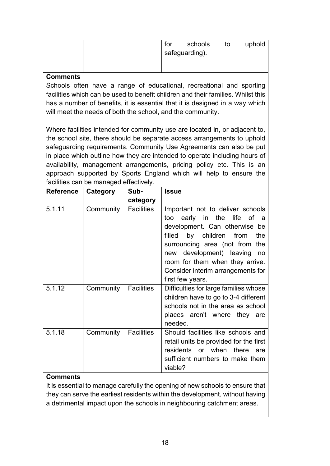| for | schools        | to | uphold |
|-----|----------------|----|--------|
|     | safeguarding). |    |        |
|     |                |    |        |

#### **Comments**

Schools often have a range of educational, recreational and sporting facilities which can be used to benefit children and their families. Whilst this has a number of benefits, it is essential that it is designed in a way which will meet the needs of both the school, and the community.

Where facilities intended for community use are located in, or adjacent to, the school site, there should be separate access arrangements to uphold safeguarding requirements. Community Use Agreements can also be put in place which outline how they are intended to operate including hours of availability, management arrangements, pricing policy etc. This is an approach supported by Sports England which will help to ensure the facilities can be managed effectively.

| <b>Reference</b> | Category  | Sub-              | <b>Issue</b>                                                                                                                                                                                                                                                                                            |
|------------------|-----------|-------------------|---------------------------------------------------------------------------------------------------------------------------------------------------------------------------------------------------------------------------------------------------------------------------------------------------------|
|                  |           | category          |                                                                                                                                                                                                                                                                                                         |
| 5.1.11           | Community | <b>Facilities</b> | Important not to deliver schools<br>early in the life of a<br>too<br>development. Can otherwise be<br>filled by children from<br>the<br>surrounding area (not from the<br>development) leaving<br>no<br>new<br>room for them when they arrive.<br>Consider interim arrangements for<br>first few years. |
| 5.1.12           | Community | <b>Facilities</b> | Difficulties for large families whose<br>children have to go to 3-4 different<br>schools not in the area as school<br>places aren't where they are<br>needed.                                                                                                                                           |
| 5.1.18           | Community | <b>Facilities</b> | Should facilities like schools and<br>retail units be provided for the first<br>residents or when there<br>are<br>sufficient numbers to make them<br>viable?                                                                                                                                            |

#### **Comments**

It is essential to manage carefully the opening of new schools to ensure that they can serve the earliest residents within the development, without having a detrimental impact upon the schools in neighbouring catchment areas.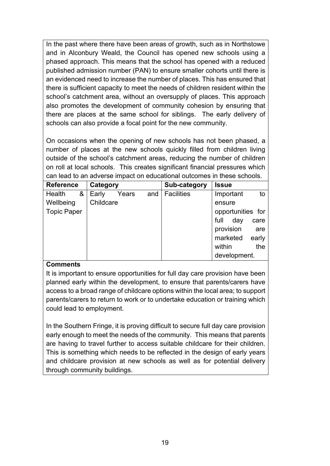In the past where there have been areas of growth, such as in Northstowe and in Alconbury Weald, the Council has opened new schools using a phased approach. This means that the school has opened with a reduced published admission number (PAN) to ensure smaller cohorts until there is an evidenced need to increase the number of places. This has ensured that there is sufficient capacity to meet the needs of children resident within the school's catchment area, without an oversupply of places. This approach also promotes the development of community cohesion by ensuring that there are places at the same school for siblings. The early delivery of schools can also provide a focal point for the new community.

On occasions when the opening of new schools has not been phased, a number of places at the new schools quickly filled from children living outside of the school's catchment areas, reducing the number of children on roll at local schools. This creates significant financial pressures which can lead to an adverse impact on educational outcomes in these schools.

| <b>Reference</b>   | Category  |       |     | Sub-category      | <b>Issue</b>      |       |
|--------------------|-----------|-------|-----|-------------------|-------------------|-------|
| &<br>Health        | Early     | Years | and | <b>Facilities</b> | Important         | to    |
| Wellbeing          | Childcare |       |     |                   | ensure            |       |
| <b>Topic Paper</b> |           |       |     |                   | opportunities for |       |
|                    |           |       |     |                   | full<br>day       | care  |
|                    |           |       |     |                   | provision         | are   |
|                    |           |       |     |                   | marketed          | early |
|                    |           |       |     |                   | within            | the   |
|                    |           |       |     |                   | development.      |       |

#### **Comments**

It is important to ensure opportunities for full day care provision have been planned early within the development, to ensure that parents/carers have access to a broad range of childcare options within the local area; to support parents/carers to return to work or to undertake education or training which could lead to employment.

In the Southern Fringe, it is proving difficult to secure full day care provision early enough to meet the needs of the community. This means that parents are having to travel further to access suitable childcare for their children. This is something which needs to be reflected in the design of early years and childcare provision at new schools as well as for potential delivery through community buildings.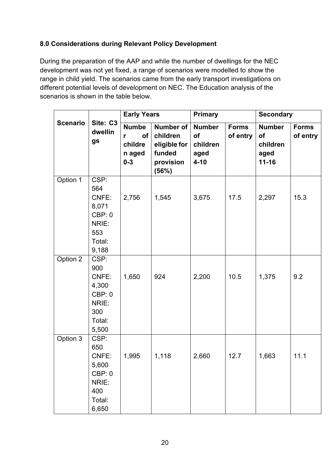#### <span id="page-19-0"></span>**8.0 Considerations during Relevant Policy Development**

During the preparation of the AAP and while the number of dwellings for the NEC development was not yet fixed, a range of scenarios were modelled to show the range in child yield. The scenarios came from the early transport investigations on different potential levels of development on NEC. The Education analysis of the scenarios is shown in the table below.

|                 |                                                                            | <b>Early Years</b>                                      |                                                                       | <b>Primary</b>                                      |                          | <b>Secondary</b>                                     |                          |
|-----------------|----------------------------------------------------------------------------|---------------------------------------------------------|-----------------------------------------------------------------------|-----------------------------------------------------|--------------------------|------------------------------------------------------|--------------------------|
| <b>Scenario</b> | Site: C3<br>dwellin<br>gs                                                  | <b>Numbe</b><br>of<br>r<br>childre<br>n aged<br>$0 - 3$ | Number of<br>children<br>eligible for<br>funded<br>provision<br>(56%) | <b>Number</b><br>of<br>children<br>aged<br>$4 - 10$ | <b>Forms</b><br>of entry | <b>Number</b><br>of<br>children<br>aged<br>$11 - 16$ | <b>Forms</b><br>of entry |
| Option 1        | CSP:<br>564<br>CNFE:<br>8,071<br>CBP: 0<br>NRIE:<br>553<br>Total:<br>9,188 | 2,756                                                   | 1,545                                                                 | 3,675                                               | 17.5                     | 2,297                                                | 15.3                     |
| Option 2        | CSP:<br>900<br>CNFE:<br>4,300<br>CBP: 0<br>NRIE:<br>300<br>Total:<br>5,500 | 1,650                                                   | 924                                                                   | 2,200                                               | 10.5                     | 1,375                                                | 9.2                      |
| Option 3        | CSP:<br>650<br>CNFE:<br>5,600<br>CBP: 0<br>NRIE:<br>400<br>Total:<br>6,650 | 1,995                                                   | 1,118                                                                 | 2,660                                               | 12.7                     | 1,663                                                | 11.1                     |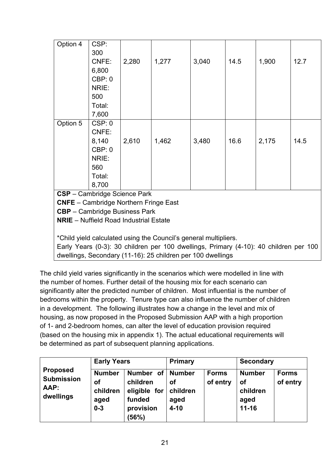| Option 4 | CSP:                                          |       |                                                                                       |       |      |       |      |
|----------|-----------------------------------------------|-------|---------------------------------------------------------------------------------------|-------|------|-------|------|
|          | 300                                           |       |                                                                                       |       |      |       |      |
|          | CNFE:                                         | 2,280 | 1,277                                                                                 | 3,040 | 14.5 | 1,900 | 12.7 |
|          | 6,800                                         |       |                                                                                       |       |      |       |      |
|          | CBP:0                                         |       |                                                                                       |       |      |       |      |
|          | NRIE:                                         |       |                                                                                       |       |      |       |      |
|          | 500                                           |       |                                                                                       |       |      |       |      |
|          | Total:                                        |       |                                                                                       |       |      |       |      |
|          | 7,600                                         |       |                                                                                       |       |      |       |      |
| Option 5 | CSP: 0                                        |       |                                                                                       |       |      |       |      |
|          | CNFE:                                         |       |                                                                                       |       |      |       |      |
|          | 8,140                                         | 2,610 | 1,462                                                                                 | 3,480 | 16.6 | 2,175 | 14.5 |
|          | CBP:0                                         |       |                                                                                       |       |      |       |      |
|          | NRIE:                                         |       |                                                                                       |       |      |       |      |
|          | 560                                           |       |                                                                                       |       |      |       |      |
|          | Total:                                        |       |                                                                                       |       |      |       |      |
|          | 8,700                                         |       |                                                                                       |       |      |       |      |
|          | CSP - Cambridge Science Park                  |       |                                                                                       |       |      |       |      |
|          | <b>CNFE</b> - Cambridge Northern Fringe East  |       |                                                                                       |       |      |       |      |
|          | <b>CBP</b> - Cambridge Business Park          |       |                                                                                       |       |      |       |      |
|          | <b>NRIE</b> – Nuffield Road Industrial Estate |       |                                                                                       |       |      |       |      |
|          |                                               |       | *Child yield calculated using the Council's general multipliers.                      |       |      |       |      |
|          |                                               |       | Early Years (0-3): 30 children per 100 dwellings, Primary (4-10): 40 children per 100 |       |      |       |      |
|          |                                               |       | dwellings, Secondary (11-16): 25 children per 100 dwellings                           |       |      |       |      |
|          |                                               |       |                                                                                       |       |      |       |      |

The child yield varies significantly in the scenarios which were modelled in line with the number of homes. Further detail of the housing mix for each scenario can significantly alter the predicted number of children. Most influential is the number of bedrooms within the property. Tenure type can also influence the number of children in a development. The following illustrates how a change in the level and mix of housing, as now proposed in the Proposed Submission AAP with a high proportion of 1- and 2-bedroom homes, can alter the level of education provision required (based on the housing mix in appendix 1). The actual educational requirements will be determined as part of subsequent planning applications.

|                                                           | <b>Early Years</b>                                 |                                                                       | <b>Primary</b>                                      |                          | <b>Secondary</b>                                     |                          |
|-----------------------------------------------------------|----------------------------------------------------|-----------------------------------------------------------------------|-----------------------------------------------------|--------------------------|------------------------------------------------------|--------------------------|
| <b>Proposed</b><br><b>Submission</b><br>AAP:<br>dwellings | <b>Number</b><br>οf<br>children<br>aged<br>$0 - 3$ | Number of<br>children<br>eligible for<br>funded<br>provision<br>(56%) | <b>Number</b><br>οf<br>children<br>aged<br>$4 - 10$ | <b>Forms</b><br>of entry | <b>Number</b><br>οf<br>children<br>aged<br>$11 - 16$ | <b>Forms</b><br>of entry |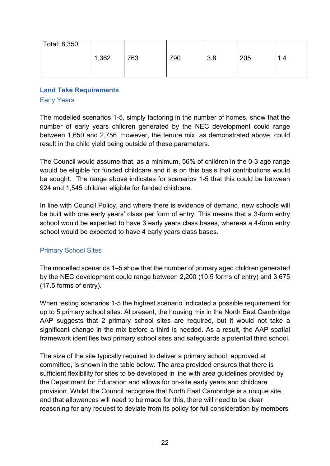| Total: 8,350 |       |     |     |     |     |          |
|--------------|-------|-----|-----|-----|-----|----------|
|              | 1,362 | 763 | 790 | 3.8 | 205 | ↗<br>1.4 |

# <span id="page-21-0"></span>**Land Take Requirements**

#### Early Years

The modelled scenarios 1-5, simply factoring in the number of homes, show that the number of early years children generated by the NEC development could range between 1,650 and 2,756. However, the tenure mix, as demonstrated above, could result in the child yield being outside of these parameters.

The Council would assume that, as a minimum, 56% of children in the 0-3 age range would be eligible for funded childcare and it is on this basis that contributions would be sought. The range above indicates for scenarios 1-5 that this could be between 924 and 1,545 children eligible for funded childcare.

In line with Council Policy, and where there is evidence of demand, new schools will be built with one early years' class per form of entry. This means that a 3-form entry school would be expected to have 3 early years class bases, whereas a 4-form entry school would be expected to have 4 early years class bases.

#### Primary School Sites

The modelled scenarios 1–5 show that the number of primary aged children generated by the NEC development could range between 2,200 (10.5 forms of entry) and 3,675 (17.5 forms of entry).

When testing scenarios 1-5 the highest scenario indicated a possible requirement for up to 5 primary school sites. At present, the housing mix in the North East Cambridge AAP suggests that 2 primary school sites are required, but it would not take a significant change in the mix before a third is needed. As a result, the AAP spatial framework identifies two primary school sites and safeguards a potential third school.

The size of the site typically required to deliver a primary school, approved at committee, is shown in the table below. The area provided ensures that there is sufficient flexibility for sites to be developed in line with area guidelines provided by the Department for Education and allows for on-site early years and childcare provision. Whilst the Council recognise that North East Cambridge is a unique site, and that allowances will need to be made for this, there will need to be clear reasoning for any request to deviate from its policy for full consideration by members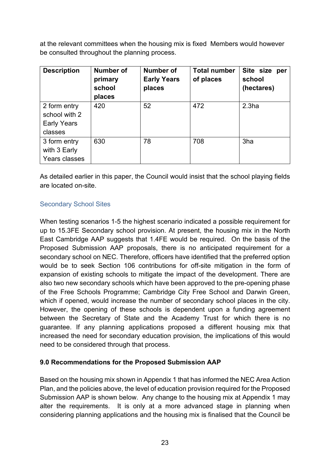at the relevant committees when the housing mix is fixed Members would however be consulted throughout the planning process.

| <b>Description</b>            | Number of<br>primary<br>school<br>places | Number of<br><b>Early Years</b><br>places | <b>Total number</b><br>of places | Site size<br>per<br>school<br>(hectares) |
|-------------------------------|------------------------------------------|-------------------------------------------|----------------------------------|------------------------------------------|
| 2 form entry<br>school with 2 | 420                                      | 52                                        | 472                              | 2.3 <sub>ha</sub>                        |
| <b>Early Years</b>            |                                          |                                           |                                  |                                          |
| classes                       |                                          |                                           |                                  |                                          |
| 3 form entry                  | 630                                      | 78                                        | 708                              | 3ha                                      |
| with 3 Early                  |                                          |                                           |                                  |                                          |
| Years classes                 |                                          |                                           |                                  |                                          |

As detailed earlier in this paper, the Council would insist that the school playing fields are located on-site.

#### Secondary School Sites

When testing scenarios 1-5 the highest scenario indicated a possible requirement for up to 15.3FE Secondary school provision. At present, the housing mix in the North East Cambridge AAP suggests that 1.4FE would be required. On the basis of the Proposed Submission AAP proposals, there is no anticipated requirement for a secondary school on NEC. Therefore, officers have identified that the preferred option would be to seek Section 106 contributions for off-site mitigation in the form of expansion of existing schools to mitigate the impact of the development. There are also two new secondary schools which have been approved to the pre-opening phase of the Free Schools Programme; Cambridge City Free School and Darwin Green, which if opened, would increase the number of secondary school places in the city. However, the opening of these schools is dependent upon a funding agreement between the Secretary of State and the Academy Trust for which there is no guarantee. If any planning applications proposed a different housing mix that increased the need for secondary education provision, the implications of this would need to be considered through that process.

#### <span id="page-22-0"></span>**9.0 Recommendations for the Proposed Submission AAP**

Based on the housing mix shown in Appendix 1 that has informed the NEC Area Action Plan, and the policies above, the level of education provision required for the Proposed Submission AAP is shown below. Any change to the housing mix at Appendix 1 may alter the requirements. It is only at a more advanced stage in planning when considering planning applications and the housing mix is finalised that the Council be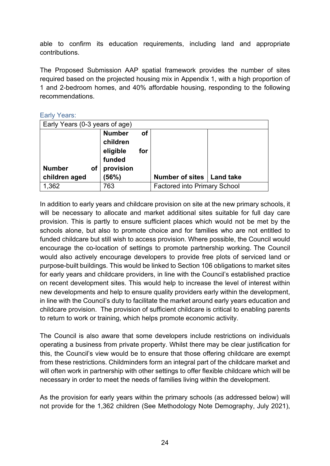able to confirm its education requirements, including land and appropriate contributions.

The Proposed Submission AAP spatial framework provides the number of sites required based on the projected housing mix in Appendix 1, with a high proportion of 1 and 2-bedroom homes, and 40% affordable housing, responding to the following recommendations.

| Early Years: |
|--------------|
|              |

| Early Years (0-3 years of age) |                           |           |                                     |  |
|--------------------------------|---------------------------|-----------|-------------------------------------|--|
|                                | <b>Number</b><br>children | <b>of</b> |                                     |  |
|                                | eligible                  | for       |                                     |  |
|                                | funded                    |           |                                     |  |
| <b>Number</b><br>οf            | provision                 |           |                                     |  |
| children aged                  | (56%)                     |           | Number of sites   Land take         |  |
| 1,362                          | 763                       |           | <b>Factored into Primary School</b> |  |

In addition to early years and childcare provision on site at the new primary schools, it will be necessary to allocate and market additional sites suitable for full day care provision. This is partly to ensure sufficient places which would not be met by the schools alone, but also to promote choice and for families who are not entitled to funded childcare but still wish to access provision. Where possible, the Council would encourage the co-location of settings to promote partnership working. The Council would also actively encourage developers to provide free plots of serviced land or purpose-built buildings. This would be linked to Section 106 obligations to market sites for early years and childcare providers, in line with the Council's established practice on recent development sites. This would help to increase the level of interest within new developments and help to ensure quality providers early within the development, in line with the Council's duty to facilitate the market around early years education and childcare provision. The provision of sufficient childcare is critical to enabling parents to return to work or training, which helps promote economic activity.

The Council is also aware that some developers include restrictions on individuals operating a business from private property. Whilst there may be clear justification for this, the Council's view would be to ensure that those offering childcare are exempt from these restrictions. Childminders form an integral part of the childcare market and will often work in partnership with other settings to offer flexible childcare which will be necessary in order to meet the needs of families living within the development.

As the provision for early years within the primary schools (as addressed below) will not provide for the 1,362 children (See Methodology Note Demography, July 2021),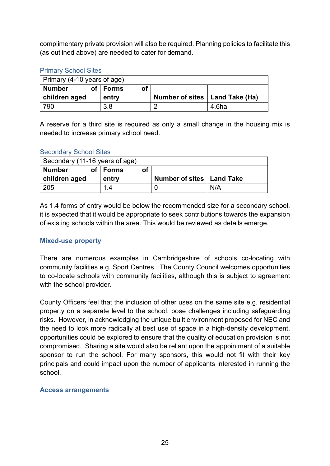complimentary private provision will also be required. Planning policies to facilitate this (as outlined above) are needed to cater for demand.

#### Primary School Sites

| Primary (4-10 years of age) |  |              |    |                                  |  |  |
|-----------------------------|--|--------------|----|----------------------------------|--|--|
| <b>Number</b>               |  | of $ $ Forms | οf |                                  |  |  |
|                             |  |              |    |                                  |  |  |
| children aged               |  | entry        |    | Number of sites   Land Take (Ha) |  |  |

A reserve for a third site is required as only a small change in the housing mix is needed to increase primary school need.

#### Secondary School Sites

| Secondary (11-16 years of age) |            |    |                             |  |
|--------------------------------|------------|----|-----------------------------|--|
| <b>Number</b>                  | of   Forms | οf |                             |  |
|                                |            |    |                             |  |
| children aged                  | entry      |    | Number of sites   Land Take |  |

As 1.4 forms of entry would be below the recommended size for a secondary school, it is expected that it would be appropriate to seek contributions towards the expansion of existing schools within the area. This would be reviewed as details emerge.

#### <span id="page-24-0"></span>**Mixed-use property**

There are numerous examples in Cambridgeshire of schools co-locating with community facilities e.g. Sport Centres. The County Council welcomes opportunities to co-locate schools with community facilities, although this is subject to agreement with the school provider.

County Officers feel that the inclusion of other uses on the same site e.g. residential property on a separate level to the school, pose challenges including safeguarding risks. However, in acknowledging the unique built environment proposed for NEC and the need to look more radically at best use of space in a high-density development, opportunities could be explored to ensure that the quality of education provision is not compromised. Sharing a site would also be reliant upon the appointment of a suitable sponsor to run the school. For many sponsors, this would not fit with their key principals and could impact upon the number of applicants interested in running the school.

#### <span id="page-24-1"></span>**Access arrangements**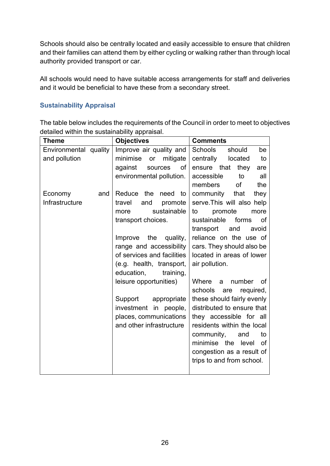Schools should also be centrally located and easily accessible to ensure that children and their families can attend them by either cycling or walking rather than through local authority provided transport or car.

All schools would need to have suitable access arrangements for staff and deliveries and it would be beneficial to have these from a secondary street.

#### <span id="page-25-0"></span>**Sustainability Appraisal**

The table below includes the requirements of the Council in order to meet to objectives detailed within the sustainability appraisal.

| Theme                 |     | <b>Objectives</b>           | <b>Comments</b>                   |  |  |
|-----------------------|-----|-----------------------------|-----------------------------------|--|--|
| Environmental quality |     | Improve air quality and     | Schools<br>should<br>be           |  |  |
| and pollution         |     | minimise<br>mitigate<br>or  | centrally<br>located<br>to        |  |  |
|                       |     | against<br>sources<br>of    | ensure that<br>they<br>are        |  |  |
|                       |     | environmental pollution.    | all<br>accessible<br>to           |  |  |
|                       |     |                             | of<br>the<br>members              |  |  |
| Economy               | and | Reduce the<br>need<br>to    | community<br>that<br>they         |  |  |
| Infrastructure        |     | travel<br>and<br>promote    | serve. This will also help        |  |  |
|                       |     | sustainable<br>more         | promote<br>more<br>to             |  |  |
|                       |     | transport choices.          | sustainable<br>forms<br><b>of</b> |  |  |
|                       |     |                             | avoid<br>transport<br>and         |  |  |
|                       |     | the<br>Improve<br>quality,  | reliance on the use of            |  |  |
|                       |     | range and accessibility     | cars. They should also be         |  |  |
|                       |     | of services and facilities  | located in areas of lower         |  |  |
|                       |     | (e.g. health, transport,    | air pollution.                    |  |  |
|                       |     | education,<br>training,     |                                   |  |  |
|                       |     | leisure opportunities)      | number<br>Where<br>0f<br>a        |  |  |
|                       |     |                             | schools<br>required,<br>are       |  |  |
|                       |     | appropriate<br>Support      | these should fairly evenly        |  |  |
|                       |     | in<br>investment<br>people, | distributed to ensure that        |  |  |
|                       |     | places, communications      | they accessible for all           |  |  |
|                       |     | and other infrastructure    | residents within the local        |  |  |
|                       |     |                             | community,<br>to<br>and           |  |  |
|                       |     |                             | minimise the level of             |  |  |
|                       |     |                             | congestion as a result of         |  |  |
|                       |     |                             | trips to and from school.         |  |  |
|                       |     |                             |                                   |  |  |